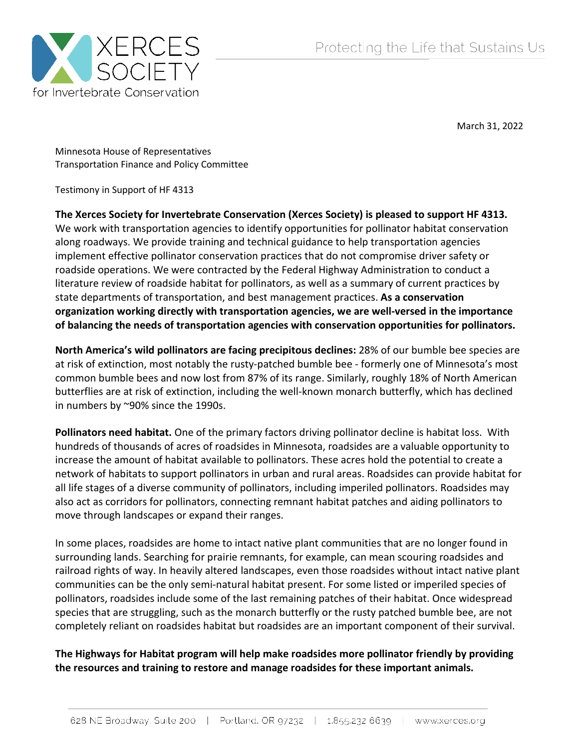

March 31, 2022

Minnesota House of Representatives Transportation Finance and Policy Committee

Testimony in Support of HF 4313

**The Xerces Society for Invertebrate Conservation (Xerces Society) is pleased to support HF 4313.**  We work with transportation agencies to identify opportunities for pollinator habitat conservation along roadways. We provide training and technical guidance to help transportation agencies implement effective pollinator conservation practices that do not compromise driver safety or roadside operations. We were contracted by the Federal Highway Administration to conduct a literature review of roadside habitat for pollinators, as well as a summary of current practices by state departments of transportation, and best management practices. **As a conservation organization working directly with transportation agencies, we are well-versed in the importance of balancing the needs of transportation agencies with conservation opportunities for pollinators.**

**North America's wild pollinators are facing precipitous declines:** 28% of our bumble bee species are at risk of extinction, most notably the rusty-patched bumble bee - formerly one of Minnesota's most common bumble bees and now lost from 87% of its range. Similarly, roughly 18% of North American butterflies are at risk of extinction, including the well-known monarch butterfly, which has declined in numbers by ~90% since the 1990s.

**Pollinators need habitat.** One of the primary factors driving pollinator decline is habitat loss. With hundreds of thousands of acres of roadsides in Minnesota, roadsides are a valuable opportunity to increase the amount of habitat available to pollinators. These acres hold the potential to create a network of habitats to support pollinators in urban and rural areas. Roadsides can provide habitat for all life stages of a diverse community of pollinators, including imperiled pollinators. Roadsides may also act as corridors for pollinators, connecting remnant habitat patches and aiding pollinators to move through landscapes or expand their ranges.

In some places, roadsides are home to intact native plant communities that are no longer found in surrounding lands. Searching for prairie remnants, for example, can mean scouring roadsides and railroad rights of way. In heavily altered landscapes, even those roadsides without intact native plant communities can be the only semi-natural habitat present. For some listed or imperiled species of pollinators, roadsides include some of the last remaining patches of their habitat. Once widespread species that are struggling, such as the monarch butterfly or the rusty patched bumble bee, are not completely reliant on roadsides habitat but roadsides are an important component of their survival.

**The Highways for Habitat program will help make roadsides more pollinator friendly by providing the resources and training to restore and manage roadsides for these important animals.**